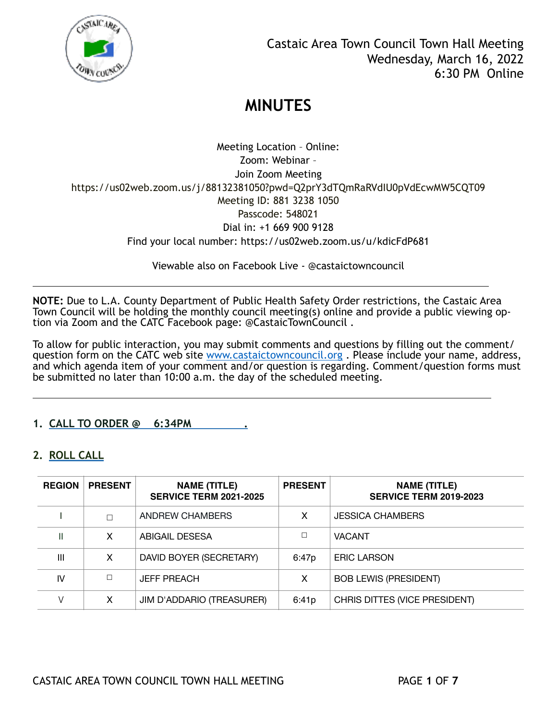

Meeting Location – Online: Zoom: Webinar – Join Zoom Meeting https://us02web.zoom.us/j/88132381050?pwd=Q2prY3dTQmRaRVdIU0pVdEcwMW5CQT09 Meeting ID: 881 3238 1050 Passcode: 548021 Dial in: +1 669 900 9128 Find your local number: https://us02web.zoom.us/u/kdicFdP681

Viewable also on Facebook Live - @castaictowncouncil

**NOTE:** Due to L.A. County Department of Public Health Safety Order restrictions, the Castaic Area Town Council will be holding the monthly council meeting(s) online and provide a public viewing option via Zoom and the CATC Facebook page: @CastaicTownCouncil .

l

l

To allow for public interaction, you may submit comments and questions by filling out the comment/ question form on the CATC web site www.castaictowncouncil.org. Please include your name, address, and which agenda item of your comment and/or question is regarding. Comment/question forms must be submitted no later than 10:00 a.m. the day of the scheduled meeting.

## **1. CALL TO ORDER @ 6:34PM .**

## **2. ROLL CALL**

| <b>REGION</b> | <b>PRESENT</b> | <b>NAME (TITLE)</b><br><b>SERVICE TERM 2021-2025</b> | <b>PRESENT</b> | <b>NAME (TITLE)</b><br><b>SERVICE TERM 2019-2023</b> |
|---------------|----------------|------------------------------------------------------|----------------|------------------------------------------------------|
|               | П              | ANDREW CHAMBERS                                      | x              | <b>JESSICA CHAMBERS</b>                              |
| Ш             | X              | ABIGAIL DESESA                                       |                | <b>VACANT</b>                                        |
| Ш             | X              | DAVID BOYER (SECRETARY)                              | 6:47p          | <b>ERIC LARSON</b>                                   |
| IV            |                | <b>JEFF PREACH</b>                                   | x              | <b>BOB LEWIS (PRESIDENT)</b>                         |
|               | X              | JIM D'ADDARIO (TREASURER)                            | 6:41p          | CHRIS DITTES (VICE PRESIDENT)                        |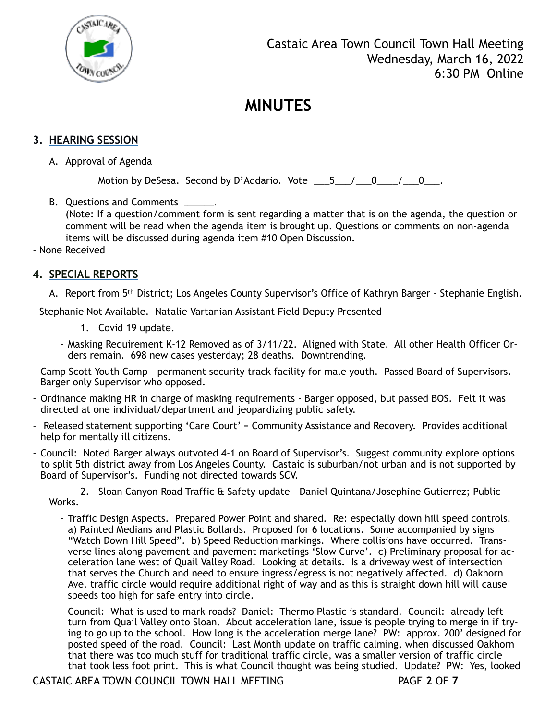

## **3. HEARING SESSION**

A. Approval of Agenda

Motion by DeSesa. Second by D'Addario. Vote  $\begin{array}{cccc} 5 & / & 0 & / & 0 \\ - & - & - & - \end{array}$ 

B. Questions and Comments \_

(Note: If a question/comment form is sent regarding a matter that is on the agenda, the question or comment will be read when the agenda item is brought up. Questions or comments on non-agenda items will be discussed during agenda item #10 Open Discussion.

- None Received

#### **4. SPECIAL REPORTS**

- A. Report from 5th District; Los Angeles County Supervisor's Office of Kathryn Barger Stephanie English.
- Stephanie Not Available. Natalie Vartanian Assistant Field Deputy Presented
	- 1. Covid 19 update.
	- Masking Requirement K-12 Removed as of 3/11/22. Aligned with State. All other Health Officer Orders remain. 698 new cases yesterday; 28 deaths. Downtrending.
- Camp Scott Youth Camp permanent security track facility for male youth. Passed Board of Supervisors. Barger only Supervisor who opposed.
- Ordinance making HR in charge of masking requirements Barger opposed, but passed BOS. Felt it was directed at one individual/department and jeopardizing public safety.
- Released statement supporting 'Care Court' = Community Assistance and Recovery. Provides additional help for mentally ill citizens.
- Council: Noted Barger always outvoted 4-1 on Board of Supervisor's. Suggest community explore options to split 5th district away from Los Angeles County. Castaic is suburban/not urban and is not supported by Board of Supervisor's. Funding not directed towards SCV.

 2. Sloan Canyon Road Traffic & Safety update - Daniel Quintana/Josephine Gutierrez; Public Works.

- Traffic Design Aspects. Prepared Power Point and shared. Re: especially down hill speed controls. a) Painted Medians and Plastic Bollards. Proposed for 6 locations. Some accompanied by signs "Watch Down Hill Speed". b) Speed Reduction markings. Where collisions have occurred. Transverse lines along pavement and pavement marketings 'Slow Curve'. c) Preliminary proposal for acceleration lane west of Quail Valley Road. Looking at details. Is a driveway west of intersection that serves the Church and need to ensure ingress/egress is not negatively affected. d) Oakhorn Ave. traffic circle would require additional right of way and as this is straight down hill will cause speeds too high for safe entry into circle.
- Council: What is used to mark roads? Daniel: Thermo Plastic is standard. Council: already left turn from Quail Valley onto Sloan. About acceleration lane, issue is people trying to merge in if trying to go up to the school. How long is the acceleration merge lane? PW: approx. 200' designed for posted speed of the road. Council: Last Month update on traffic calming, when discussed Oakhorn that there was too much stuff for traditional traffic circle, was a smaller version of traffic circle that took less foot print. This is what Council thought was being studied. Update? PW: Yes, looked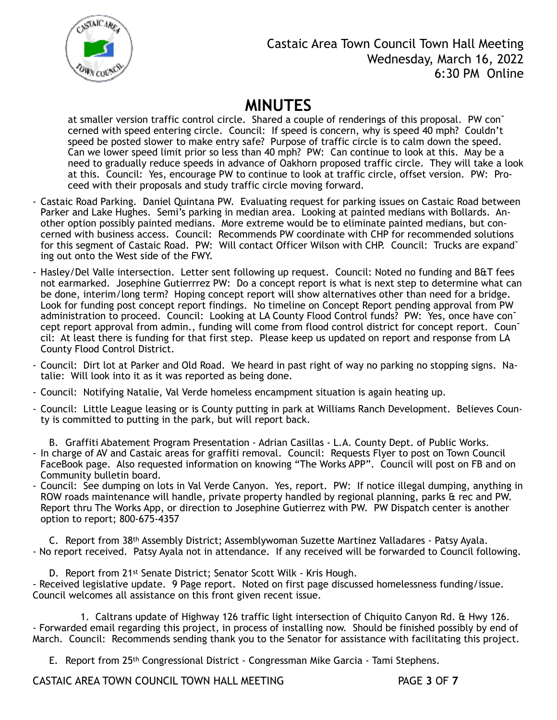

# Castaic Area Town Council Town Hall Meeting Wednesday, March 16, 2022 6:30 PM Online

# **MINUTES**

at smaller version traffic control circle. Shared a couple of renderings of this proposal. PW concerned with speed entering circle. Council: If speed is concern, why is speed 40 mph? Couldn't speed be posted slower to make entry safe? Purpose of traffic circle is to calm down the speed. Can we lower speed limit prior so less than 40 mph? PW: Can continue to look at this. May be a need to gradually reduce speeds in advance of Oakhorn proposed traffic circle. They will take a look at this. Council: Yes, encourage PW to continue to look at traffic circle, offset version. PW: Proceed with their proposals and study traffic circle moving forward.

- Castaic Road Parking. Daniel Quintana PW. Evaluating request for parking issues on Castaic Road between Parker and Lake Hughes. Semi's parking in median area. Looking at painted medians with Bollards. Another option possibly painted medians. More extreme would be to eliminate painted medians, but concerned with business access. Council: Recommends PW coordinate with CHP for recommended solutions for this segment of Castaic Road. PW: Will contact Officer Wilson with CHP. Council: Trucks are expand<sup>-</sup> ing out onto the West side of the FWY.
- Hasley/Del Valle intersection. Letter sent following up request. Council: Noted no funding and B&T fees not earmarked. Josephine Gutierrrez PW: Do a concept report is what is next step to determine what can be done, interim/long term? Hoping concept report will show alternatives other than need for a bridge. Look for funding post concept report findings. No timeline on Concept Report pending approval from PW administration to proceed. Council: Looking at LA County Flood Control funds? PW: Yes, once have concept report approval from admin., funding will come from flood control district for concept report. Council: At least there is funding for that first step. Please keep us updated on report and response from LA County Flood Control District.
- Council: Dirt lot at Parker and Old Road. We heard in past right of way no parking no stopping signs. Natalie: Will look into it as it was reported as being done.
- Council: Notifying Natalie, Val Verde homeless encampment situation is again heating up.
- Council: Little League leasing or is County putting in park at Williams Ranch Development. Believes County is committed to putting in the park, but will report back.
- B. Graffiti Abatement Program Presentation Adrian Casillas L.A. County Dept. of Public Works. - In charge of AV and Castaic areas for graffiti removal. Council: Requests Flyer to post on Town Council FaceBook page. Also requested information on knowing "The Works APP". Council will post on FB and on Community bulletin board.
- Council: See dumping on lots in Val Verde Canyon. Yes, report. PW: If notice illegal dumping, anything in ROW roads maintenance will handle, private property handled by regional planning, parks & rec and PW. Report thru The Works App, or direction to Josephine Gutierrez with PW. PW Dispatch center is another option to report; 800-675-4357

C. Report from 38th Assembly District; Assemblywoman Suzette Martinez Valladares - Patsy Ayala. - No report received. Patsy Ayala not in attendance. If any received will be forwarded to Council following.

D. Report from 21st Senate District; Senator Scott Wilk - Kris Hough. - Received legislative update. 9 Page report. Noted on first page discussed homelessness funding/issue. Council welcomes all assistance on this front given recent issue.

 1. Caltrans update of Highway 126 traffic light intersection of Chiquito Canyon Rd. & Hwy 126. - Forwarded email regarding this project, in process of installing now. Should be finished possibly by end of March. Council: Recommends sending thank you to the Senator for assistance with facilitating this project.

E. Report from 25th Congressional District - Congressman Mike Garcia - Tami Stephens.

CASTAIC AREA TOWN COUNCIL TOWN HALL MEETING PAGE **3** OF **7**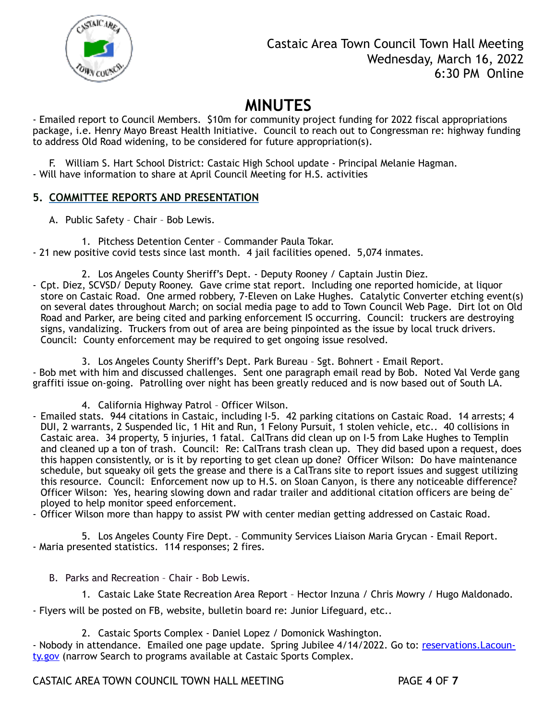

- Emailed report to Council Members. \$10m for community project funding for 2022 fiscal appropriations package, i.e. Henry Mayo Breast Health Initiative. Council to reach out to Congressman re: highway funding to address Old Road widening, to be considered for future appropriation(s).

F. William S. Hart School District: Castaic High School update - Principal Melanie Hagman. - Will have information to share at April Council Meeting for H.S. activities

### **5. COMMITTEE REPORTS AND PRESENTATION**

A. Public Safety – Chair – Bob Lewis.

1. Pitchess Detention Center – Commander Paula Tokar. - 21 new positive covid tests since last month. 4 jail facilities opened. 5,074 inmates.

- 2. Los Angeles County Sheriff's Dept. Deputy Rooney / Captain Justin Diez.
- Cpt. Diez, SCVSD/ Deputy Rooney. Gave crime stat report. Including one reported homicide, at liquor store on Castaic Road. One armed robbery, 7-Eleven on Lake Hughes. Catalytic Converter etching event(s) on several dates throughout March; on social media page to add to Town Council Web Page. Dirt lot on Old Road and Parker, are being cited and parking enforcement IS occurring. Council: truckers are destroying signs, vandalizing. Truckers from out of area are being pinpointed as the issue by local truck drivers. Council: County enforcement may be required to get ongoing issue resolved.

3. Los Angeles County Sheriff's Dept. Park Bureau – Sgt. Bohnert - Email Report. - Bob met with him and discussed challenges. Sent one paragraph email read by Bob. Noted Val Verde gang graffiti issue on-going. Patrolling over night has been greatly reduced and is now based out of South LA.

- 4. California Highway Patrol Officer Wilson.
- Emailed stats. 944 citations in Castaic, including I-5. 42 parking citations on Castaic Road. 14 arrests; 4 DUI, 2 warrants, 2 Suspended lic, 1 Hit and Run, 1 Felony Pursuit, 1 stolen vehicle, etc.. 40 collisions in Castaic area. 34 property, 5 injuries, 1 fatal. CalTrans did clean up on I-5 from Lake Hughes to Templin and cleaned up a ton of trash. Council: Re: CalTrans trash clean up. They did based upon a request, does this happen consistently, or is it by reporting to get clean up done? Officer Wilson: Do have maintenance schedule, but squeaky oil gets the grease and there is a CalTrans site to report issues and suggest utilizing this resource. Council: Enforcement now up to H.S. on Sloan Canyon, is there any noticeable difference? Officer Wilson: Yes, hearing slowing down and radar trailer and additional citation officers are being deployed to help monitor speed enforcement.
- Officer Wilson more than happy to assist PW with center median getting addressed on Castaic Road.

5. Los Angeles County Fire Dept. – Community Services Liaison Maria Grycan - Email Report. - Maria presented statistics. 114 responses; 2 fires.

- B. Parks and Recreation Chair Bob Lewis.
	- 1. Castaic Lake State Recreation Area Report Hector Inzuna / Chris Mowry / Hugo Maldonado.

- Flyers will be posted on FB, website, bulletin board re: Junior Lifeguard, etc..

2. Castaic Sports Complex - Daniel Lopez / Domonick Washington.

- Nobody in attendance. Emailed one page update. Spring Jubilee 4/14/2022. Go to: reservations. Lacoun[ty.gov](http://reservations.Lacounty.gov) (narrow Search to programs available at Castaic Sports Complex.

CASTAIC AREA TOWN COUNCIL TOWN HALL MEETING PAGE **4** OF **7**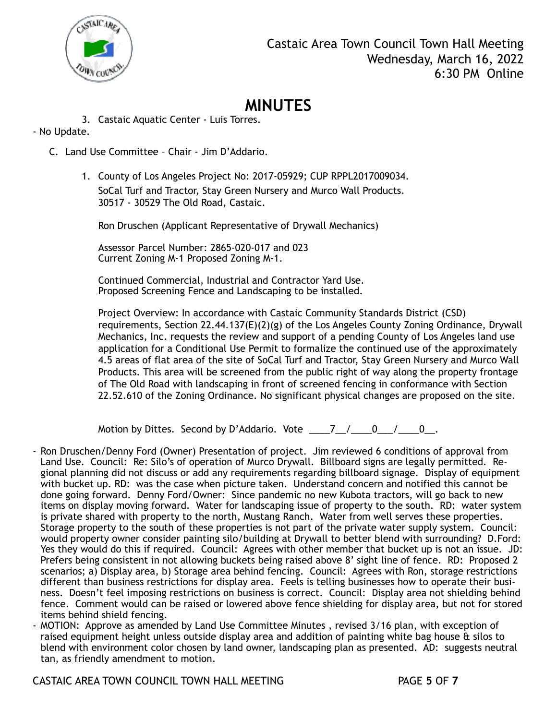

3. Castaic Aquatic Center - Luis Torres.

### - No Update.

- C. Land Use Committee Chair Jim D'Addario.
	- 1. County of Los Angeles Project No: 2017-05929; CUP RPPL2017009034. SoCal Turf and Tractor, Stay Green Nursery and Murco Wall Products. 30517 - 30529 The Old Road, Castaic.

Ron Druschen (Applicant Representative of Drywall Mechanics)

Assessor Parcel Number: 2865-020-017 and 023 Current Zoning M-1 Proposed Zoning M-1.

Continued Commercial, Industrial and Contractor Yard Use. Proposed Screening Fence and Landscaping to be installed.

Project Overview: In accordance with Castaic Community Standards District (CSD) requirements, Section 22.44.137(E)(2)(g) of the Los Angeles County Zoning Ordinance, Drywall Mechanics, Inc. requests the review and support of a pending County of Los Angeles land use application for a Conditional Use Permit to formalize the continued use of the approximately 4.5 areas of flat area of the site of SoCal Turf and Tractor, Stay Green Nursery and Murco Wall Products. This area will be screened from the public right of way along the property frontage of The Old Road with landscaping in front of screened fencing in conformance with Section 22.52.610 of the Zoning Ordinance. No significant physical changes are proposed on the site.

Motion by Dittes. Second by D'Addario. Vote  $\underline{\hspace{1cm}} 7 \underline{\hspace{1cm}} / \underline{\hspace{1cm}} 0 \underline{\hspace{1cm}} / \underline{\hspace{1cm}} 0 \underline{\hspace{1cm}}.$ 

- Ron Druschen/Denny Ford (Owner) Presentation of project. Jim reviewed 6 conditions of approval from Land Use. Council: Re: Silo's of operation of Murco Drywall. Billboard signs are legally permitted. Regional planning did not discuss or add any requirements regarding billboard signage. Display of equipment with bucket up. RD: was the case when picture taken. Understand concern and notified this cannot be done going forward. Denny Ford/Owner: Since pandemic no new Kubota tractors, will go back to new items on display moving forward. Water for landscaping issue of property to the south. RD: water system is private shared with property to the north, Mustang Ranch. Water from well serves these properties. Storage property to the south of these properties is not part of the private water supply system. Council: would property owner consider painting silo/building at Drywall to better blend with surrounding? D.Ford: Yes they would do this if required. Council: Agrees with other member that bucket up is not an issue. JD: Prefers being consistent in not allowing buckets being raised above 8' sight line of fence. RD: Proposed 2 scenarios; a) Display area, b) Storage area behind fencing. Council: Agrees with Ron, storage restrictions different than business restrictions for display area. Feels is telling businesses how to operate their business. Doesn't feel imposing restrictions on business is correct. Council: Display area not shielding behind fence. Comment would can be raised or lowered above fence shielding for display area, but not for stored items behind shield fencing.
- MOTION: Approve as amended by Land Use Committee Minutes , revised 3/16 plan, with exception of raised equipment height unless outside display area and addition of painting white bag house & silos to blend with environment color chosen by land owner, landscaping plan as presented. AD: suggests neutral tan, as friendly amendment to motion.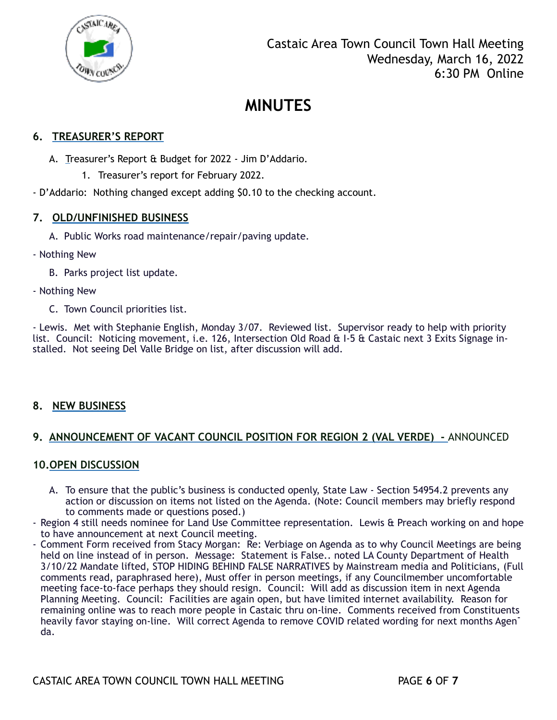

## **6. TREASURER'S REPORT**

- A. Treasurer's Report & Budget for 2022 Jim D'Addario.
	- 1. Treasurer's report for February 2022.
- D'Addario: Nothing changed except adding \$0.10 to the checking account.

#### **7. OLD/UNFINISHED BUSINESS**

- A. Public Works road maintenance/repair/paving update.
- Nothing New
	- B. Parks project list update.
- Nothing New
	- C. Town Council priorities list.

- Lewis. Met with Stephanie English, Monday 3/07. Reviewed list. Supervisor ready to help with priority list. Council: Noticing movement, i.e. 126, Intersection Old Road & I-5 & Castaic next 3 Exits Signage installed. Not seeing Del Valle Bridge on list, after discussion will add.

#### **8. NEW BUSINESS**

#### **9. ANNOUNCEMENT OF VACANT COUNCIL POSITION FOR REGION 2 (VAL VERDE) -** ANNOUNCED

#### **10.OPEN DISCUSSION**

- A. To ensure that the public's business is conducted openly, State Law Section 54954.2 prevents any action or discussion on items not listed on the Agenda. (Note: Council members may briefly respond to comments made or questions posed.)
- Region 4 still needs nominee for Land Use Committee representation. Lewis & Preach working on and hope to have announcement at next Council meeting.
- Comment Form received from Stacy Morgan: Re: Verbiage on Agenda as to why Council Meetings are being held on line instead of in person. Message: Statement is False.. noted LA County Department of Health 3/10/22 Mandate lifted, STOP HIDING BEHIND FALSE NARRATIVES by Mainstream media and Politicians, (Full comments read, paraphrased here), Must offer in person meetings, if any Councilmember uncomfortable meeting face-to-face perhaps they should resign. Council: Will add as discussion item in next Agenda Planning Meeting. Council: Facilities are again open, but have limited internet availability. Reason for remaining online was to reach more people in Castaic thru on-line. Comments received from Constituents heavily favor staying on-line. Will correct Agenda to remove COVID related wording for next months Agen<sup>-</sup> da.